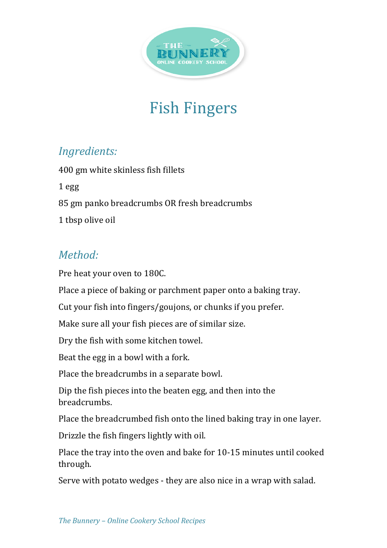

## Fish Fingers

## *Ingredients:*

400 gm white skinless fish fillets 1 egg 85 gm panko breadcrumbs OR fresh breadcrumbs 1 tbsp olive oil

## *Method:*

Pre heat your oven to 180C.

Place a piece of baking or parchment paper onto a baking tray.

Cut your fish into fingers/goujons, or chunks if you prefer.

Make sure all your fish pieces are of similar size.

Dry the fish with some kitchen towel.

Beat the egg in a bowl with a fork.

Place the breadcrumbs in a separate bowl.

Dip the fish pieces into the beaten egg, and then into the breadcrumbs.

Place the breadcrumbed fish onto the lined baking tray in one layer.

Drizzle the fish fingers lightly with oil.

Place the tray into the oven and bake for 10-15 minutes until cooked through.

Serve with potato wedges - they are also nice in a wrap with salad.